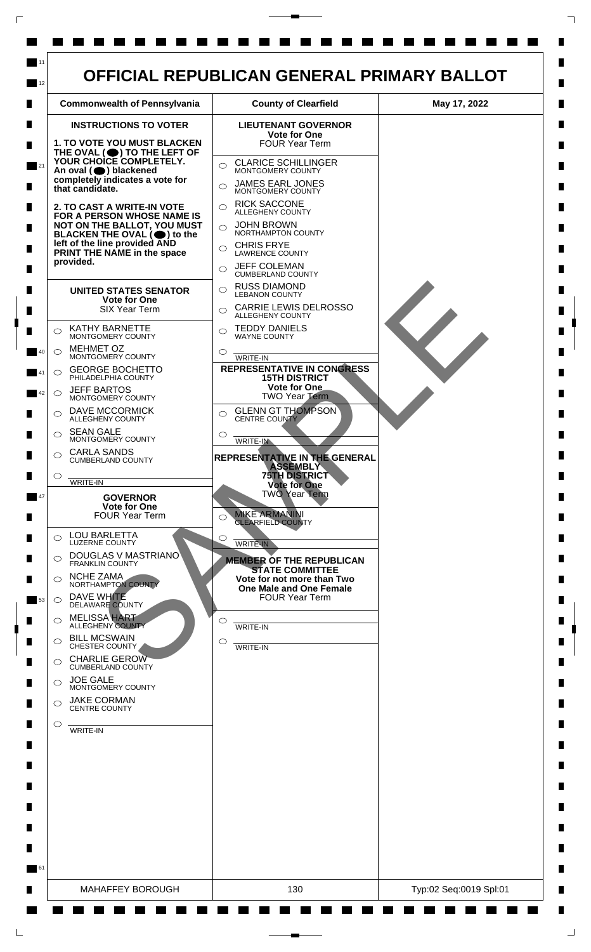

 $\mathsf{L}$